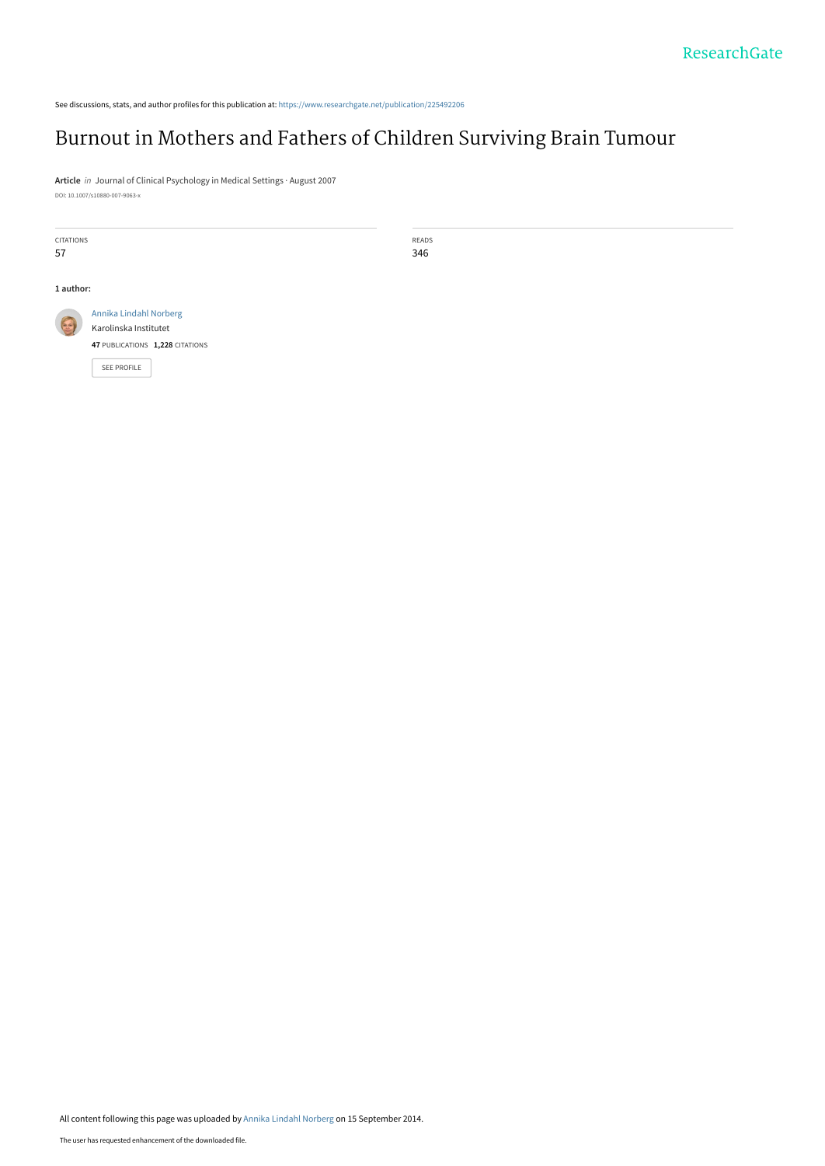See discussions, stats, and author profiles for this publication at: [https://www.researchgate.net/publication/225492206](https://www.researchgate.net/publication/225492206_Burnout_in_Mothers_and_Fathers_of_Children_Surviving_Brain_Tumour?enrichId=rgreq-04f6e7f3831af9fff20b580172f03132-XXX&enrichSource=Y292ZXJQYWdlOzIyNTQ5MjIwNjtBUzoxNDE2NDMxNzI4MTQ4NDhAMTQxMDc4MTc3MjEyNg%3D%3D&el=1_x_2&_esc=publicationCoverPdf)

# [Burnout in Mothers and Fathers of Children Surviving Brain Tumour](https://www.researchgate.net/publication/225492206_Burnout_in_Mothers_and_Fathers_of_Children_Surviving_Brain_Tumour?enrichId=rgreq-04f6e7f3831af9fff20b580172f03132-XXX&enrichSource=Y292ZXJQYWdlOzIyNTQ5MjIwNjtBUzoxNDE2NDMxNzI4MTQ4NDhAMTQxMDc4MTc3MjEyNg%3D%3D&el=1_x_3&_esc=publicationCoverPdf)

**Article** in Journal of Clinical Psychology in Medical Settings · August 2007 DOI: 10.1007/s10880-007-9063-x

| CITATIONS |                                 | READS |  |  |  |
|-----------|---------------------------------|-------|--|--|--|
| 57        |                                 | 346   |  |  |  |
|           |                                 |       |  |  |  |
|           | 1 author:                       |       |  |  |  |
| G         | Annika Lindahl Norberg          |       |  |  |  |
|           | Karolinska Institutet           |       |  |  |  |
|           | 47 PUBLICATIONS 1,228 CITATIONS |       |  |  |  |
|           | SEE PROFILE                     |       |  |  |  |
|           |                                 |       |  |  |  |
|           |                                 |       |  |  |  |
|           |                                 |       |  |  |  |
|           |                                 |       |  |  |  |

All content following this page was uploaded by [Annika Lindahl Norberg](https://www.researchgate.net/profile/Annika_Norberg?enrichId=rgreq-04f6e7f3831af9fff20b580172f03132-XXX&enrichSource=Y292ZXJQYWdlOzIyNTQ5MjIwNjtBUzoxNDE2NDMxNzI4MTQ4NDhAMTQxMDc4MTc3MjEyNg%3D%3D&el=1_x_10&_esc=publicationCoverPdf) on 15 September 2014.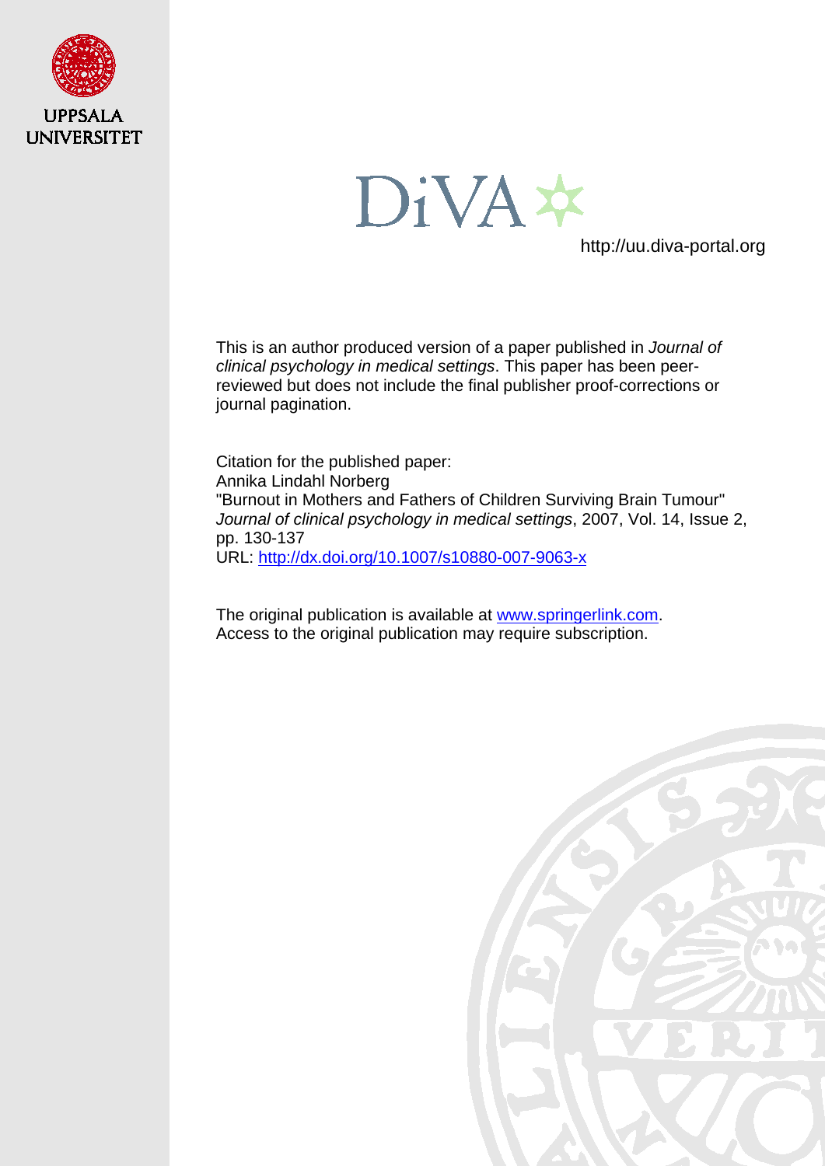

DiVA\*

http://uu.diva-portal.org

This is an author produced version of a paper published in *Journal of clinical psychology in medical settings*. This paper has been peerreviewed but does not include the final publisher proof-corrections or journal pagination.

Citation for the published paper: Annika Lindahl Norberg "Burnout in Mothers and Fathers of Children Surviving Brain Tumour" *Journal of clinical psychology in medical settings*, 2007, Vol. 14, Issue 2, pp. 130-137 URL:<http://dx.doi.org/10.1007/s10880-007-9063-x>

The original publication is available at [www.springerlink.com.](http://www.springerlink.com/) Access to the original publication may require subscription.

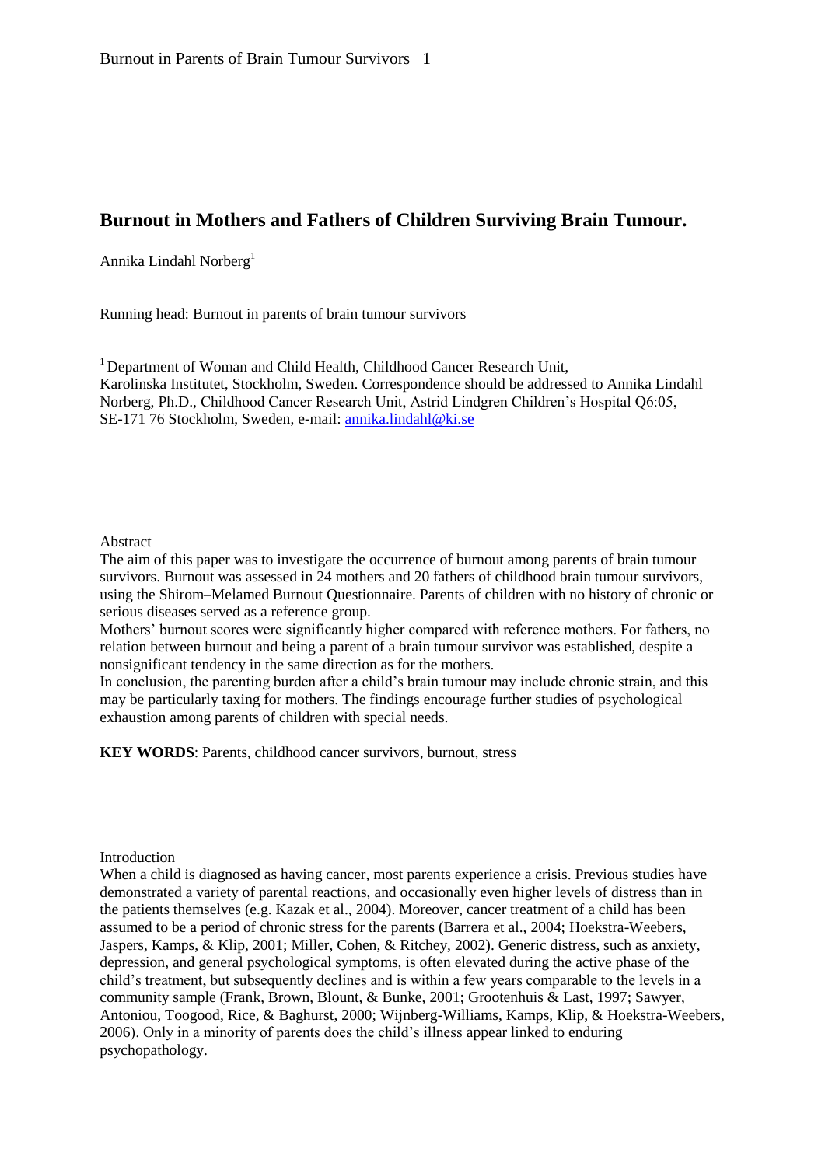# **Burnout in Mothers and Fathers of Children Surviving Brain Tumour.**

Annika Lindahl Norberg<sup>1</sup>

Running head: Burnout in parents of brain tumour survivors

<sup>1</sup> Department of Woman and Child Health, Childhood Cancer Research Unit, Karolinska Institutet, Stockholm, Sweden. Correspondence should be addressed to Annika Lindahl Norberg, Ph.D., Childhood Cancer Research Unit, Astrid Lindgren Children's Hospital Q6:05, SE-171 76 Stockholm, Sweden, e-mail: [annika.lindahl@ki.se](mailto:annika.lindahl@ki.se)

#### Abstract

The aim of this paper was to investigate the occurrence of burnout among parents of brain tumour survivors. Burnout was assessed in 24 mothers and 20 fathers of childhood brain tumour survivors, using the Shirom–Melamed Burnout Questionnaire. Parents of children with no history of chronic or serious diseases served as a reference group.

Mothers' burnout scores were significantly higher compared with reference mothers. For fathers, no relation between burnout and being a parent of a brain tumour survivor was established, despite a nonsignificant tendency in the same direction as for the mothers.

In conclusion, the parenting burden after a child's brain tumour may include chronic strain, and this may be particularly taxing for mothers. The findings encourage further studies of psychological exhaustion among parents of children with special needs.

**KEY WORDS**: Parents, childhood cancer survivors, burnout, stress

Introduction

When a child is diagnosed as having cancer, most parents experience a crisis. Previous studies have demonstrated a variety of parental reactions, and occasionally even higher levels of distress than in the patients themselves (e.g. Kazak et al., 2004). Moreover, cancer treatment of a child has been assumed to be a period of chronic stress for the parents (Barrera et al., 2004; Hoekstra-Weebers, Jaspers, Kamps, & Klip, 2001; Miller, Cohen, & Ritchey, 2002). Generic distress, such as anxiety, depression, and general psychological symptoms, is often elevated during the active phase of the child's treatment, but subsequently declines and is within a few years comparable to the levels in a community sample (Frank, Brown, Blount, & Bunke, 2001; Grootenhuis & Last, 1997; Sawyer, Antoniou, Toogood, Rice, & Baghurst, 2000; Wijnberg-Williams, Kamps, Klip, & Hoekstra-Weebers, 2006). Only in a minority of parents does the child's illness appear linked to enduring psychopathology.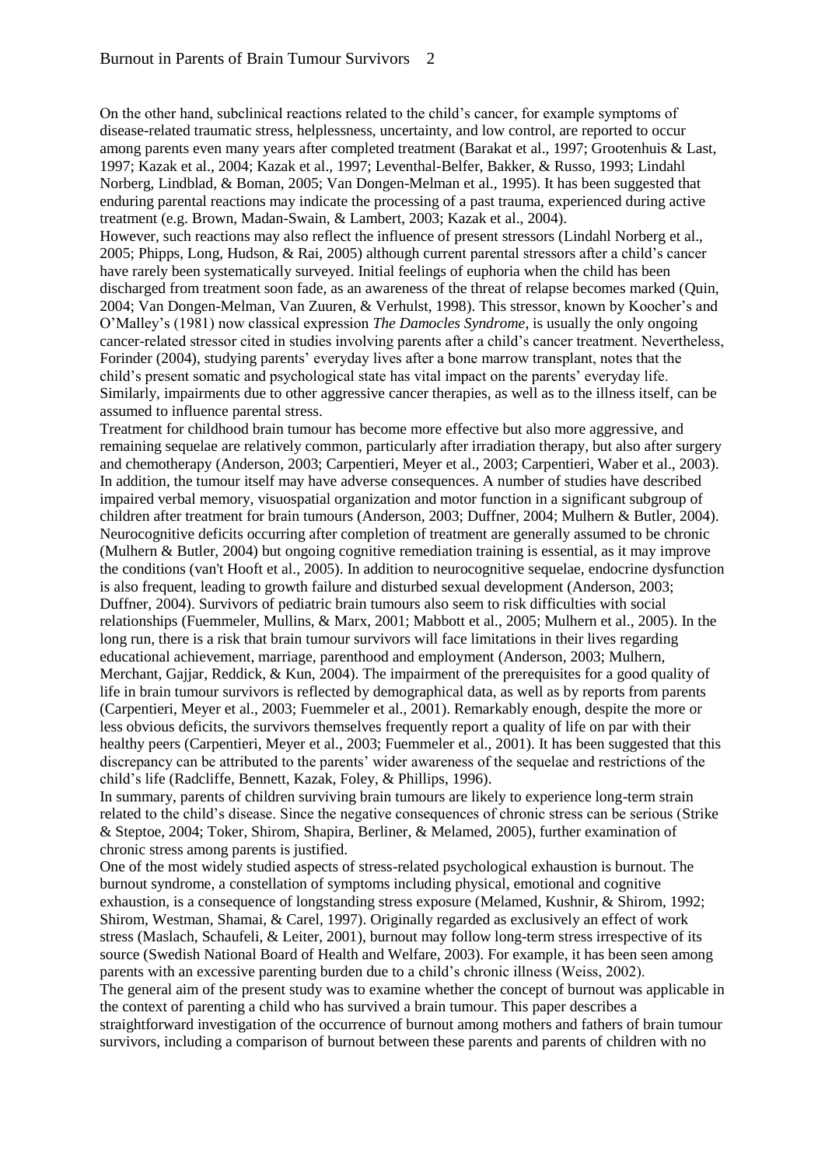On the other hand, subclinical reactions related to the child's cancer, for example symptoms of disease-related traumatic stress, helplessness, uncertainty, and low control, are reported to occur among parents even many years after completed treatment (Barakat et al., 1997; Grootenhuis & Last, 1997; Kazak et al., 2004; Kazak et al., 1997; Leventhal-Belfer, Bakker, & Russo, 1993; Lindahl Norberg, Lindblad, & Boman, 2005; Van Dongen-Melman et al., 1995). It has been suggested that enduring parental reactions may indicate the processing of a past trauma, experienced during active treatment (e.g. Brown, Madan-Swain, & Lambert, 2003; Kazak et al., 2004).

However, such reactions may also reflect the influence of present stressors (Lindahl Norberg et al., 2005; Phipps, Long, Hudson, & Rai, 2005) although current parental stressors after a child's cancer have rarely been systematically surveyed. Initial feelings of euphoria when the child has been discharged from treatment soon fade, as an awareness of the threat of relapse becomes marked (Quin, 2004; Van Dongen-Melman, Van Zuuren, & Verhulst, 1998). This stressor, known by Koocher's and O'Malley's (1981) now classical expression *The Damocles Syndrome*, is usually the only ongoing cancer-related stressor cited in studies involving parents after a child's cancer treatment. Nevertheless, Forinder (2004), studying parents' everyday lives after a bone marrow transplant, notes that the child's present somatic and psychological state has vital impact on the parents' everyday life. Similarly, impairments due to other aggressive cancer therapies, as well as to the illness itself, can be assumed to influence parental stress.

Treatment for childhood brain tumour has become more effective but also more aggressive, and remaining sequelae are relatively common, particularly after irradiation therapy, but also after surgery and chemotherapy (Anderson, 2003; Carpentieri, Meyer et al., 2003; Carpentieri, Waber et al., 2003). In addition, the tumour itself may have adverse consequences. A number of studies have described impaired verbal memory, visuospatial organization and motor function in a significant subgroup of children after treatment for brain tumours (Anderson, 2003; Duffner, 2004; Mulhern & Butler, 2004). Neurocognitive deficits occurring after completion of treatment are generally assumed to be chronic (Mulhern & Butler, 2004) but ongoing cognitive remediation training is essential, as it may improve the conditions (van't Hooft et al., 2005). In addition to neurocognitive sequelae, endocrine dysfunction is also frequent, leading to growth failure and disturbed sexual development (Anderson, 2003; Duffner, 2004). Survivors of pediatric brain tumours also seem to risk difficulties with social relationships (Fuemmeler, Mullins, & Marx, 2001; Mabbott et al., 2005; Mulhern et al., 2005). In the long run, there is a risk that brain tumour survivors will face limitations in their lives regarding educational achievement, marriage, parenthood and employment (Anderson, 2003; Mulhern, Merchant, Gajjar, Reddick, & Kun, 2004). The impairment of the prerequisites for a good quality of life in brain tumour survivors is reflected by demographical data, as well as by reports from parents (Carpentieri, Meyer et al., 2003; Fuemmeler et al., 2001). Remarkably enough, despite the more or less obvious deficits, the survivors themselves frequently report a quality of life on par with their healthy peers (Carpentieri, Meyer et al., 2003; Fuemmeler et al., 2001). It has been suggested that this discrepancy can be attributed to the parents' wider awareness of the sequelae and restrictions of the child's life (Radcliffe, Bennett, Kazak, Foley, & Phillips, 1996).

In summary, parents of children surviving brain tumours are likely to experience long-term strain related to the child's disease. Since the negative consequences of chronic stress can be serious (Strike & Steptoe, 2004; Toker, Shirom, Shapira, Berliner, & Melamed, 2005), further examination of chronic stress among parents is justified.

One of the most widely studied aspects of stress-related psychological exhaustion is burnout. The burnout syndrome, a constellation of symptoms including physical, emotional and cognitive exhaustion, is a consequence of longstanding stress exposure (Melamed, Kushnir, & Shirom, 1992; Shirom, Westman, Shamai, & Carel, 1997). Originally regarded as exclusively an effect of work stress (Maslach, Schaufeli, & Leiter, 2001), burnout may follow long-term stress irrespective of its source (Swedish National Board of Health and Welfare, 2003). For example, it has been seen among parents with an excessive parenting burden due to a child's chronic illness (Weiss, 2002). The general aim of the present study was to examine whether the concept of burnout was applicable in the context of parenting a child who has survived a brain tumour. This paper describes a straightforward investigation of the occurrence of burnout among mothers and fathers of brain tumour survivors, including a comparison of burnout between these parents and parents of children with no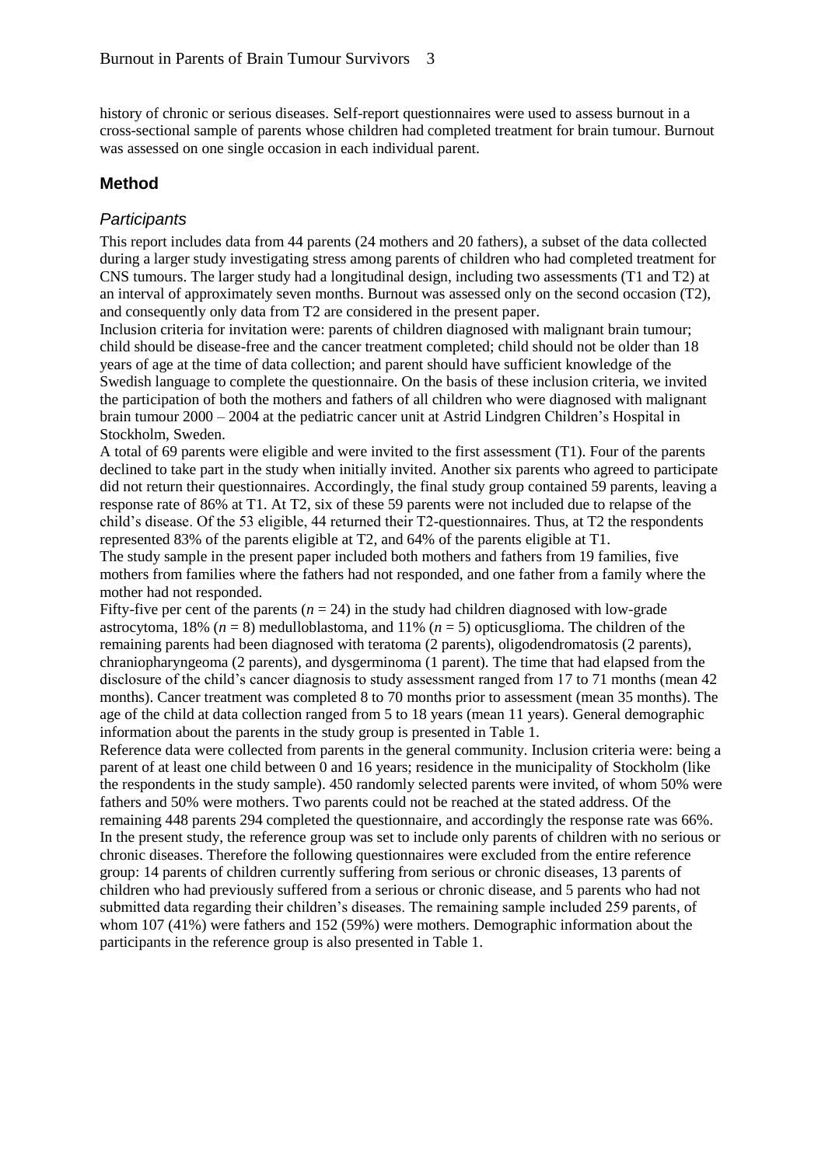history of chronic or serious diseases. Self-report questionnaires were used to assess burnout in a cross-sectional sample of parents whose children had completed treatment for brain tumour. Burnout was assessed on one single occasion in each individual parent.

### **Method**

#### *Participants*

This report includes data from 44 parents (24 mothers and 20 fathers), a subset of the data collected during a larger study investigating stress among parents of children who had completed treatment for CNS tumours. The larger study had a longitudinal design, including two assessments (T1 and T2) at an interval of approximately seven months. Burnout was assessed only on the second occasion (T2), and consequently only data from T2 are considered in the present paper.

Inclusion criteria for invitation were: parents of children diagnosed with malignant brain tumour; child should be disease-free and the cancer treatment completed; child should not be older than 18 years of age at the time of data collection; and parent should have sufficient knowledge of the Swedish language to complete the questionnaire. On the basis of these inclusion criteria, we invited the participation of both the mothers and fathers of all children who were diagnosed with malignant brain tumour 2000 – 2004 at the pediatric cancer unit at Astrid Lindgren Children's Hospital in Stockholm, Sweden.

A total of 69 parents were eligible and were invited to the first assessment (T1). Four of the parents declined to take part in the study when initially invited. Another six parents who agreed to participate did not return their questionnaires. Accordingly, the final study group contained 59 parents, leaving a response rate of 86% at T1. At T2, six of these 59 parents were not included due to relapse of the child's disease. Of the 53 eligible, 44 returned their T2-questionnaires. Thus, at T2 the respondents represented 83% of the parents eligible at T2, and 64% of the parents eligible at T1.

The study sample in the present paper included both mothers and fathers from 19 families, five mothers from families where the fathers had not responded, and one father from a family where the mother had not responded.

Fifty-five per cent of the parents  $(n = 24)$  in the study had children diagnosed with low-grade astrocytoma, 18% (*n* = 8) medulloblastoma, and 11% (*n* = 5) opticusglioma. The children of the remaining parents had been diagnosed with teratoma (2 parents), oligodendromatosis (2 parents), chraniopharyngeoma (2 parents), and dysgerminoma (1 parent). The time that had elapsed from the disclosure of the child's cancer diagnosis to study assessment ranged from 17 to 71 months (mean 42 months). Cancer treatment was completed 8 to 70 months prior to assessment (mean 35 months). The age of the child at data collection ranged from 5 to 18 years (mean 11 years). General demographic information about the parents in the study group is presented in Table 1.

Reference data were collected from parents in the general community. Inclusion criteria were: being a parent of at least one child between 0 and 16 years; residence in the municipality of Stockholm (like the respondents in the study sample). 450 randomly selected parents were invited, of whom 50% were fathers and 50% were mothers. Two parents could not be reached at the stated address. Of the remaining 448 parents 294 completed the questionnaire, and accordingly the response rate was 66%. In the present study, the reference group was set to include only parents of children with no serious or chronic diseases. Therefore the following questionnaires were excluded from the entire reference group: 14 parents of children currently suffering from serious or chronic diseases, 13 parents of children who had previously suffered from a serious or chronic disease, and 5 parents who had not submitted data regarding their children's diseases. The remaining sample included 259 parents, of whom 107 (41%) were fathers and 152 (59%) were mothers. Demographic information about the participants in the reference group is also presented in Table 1.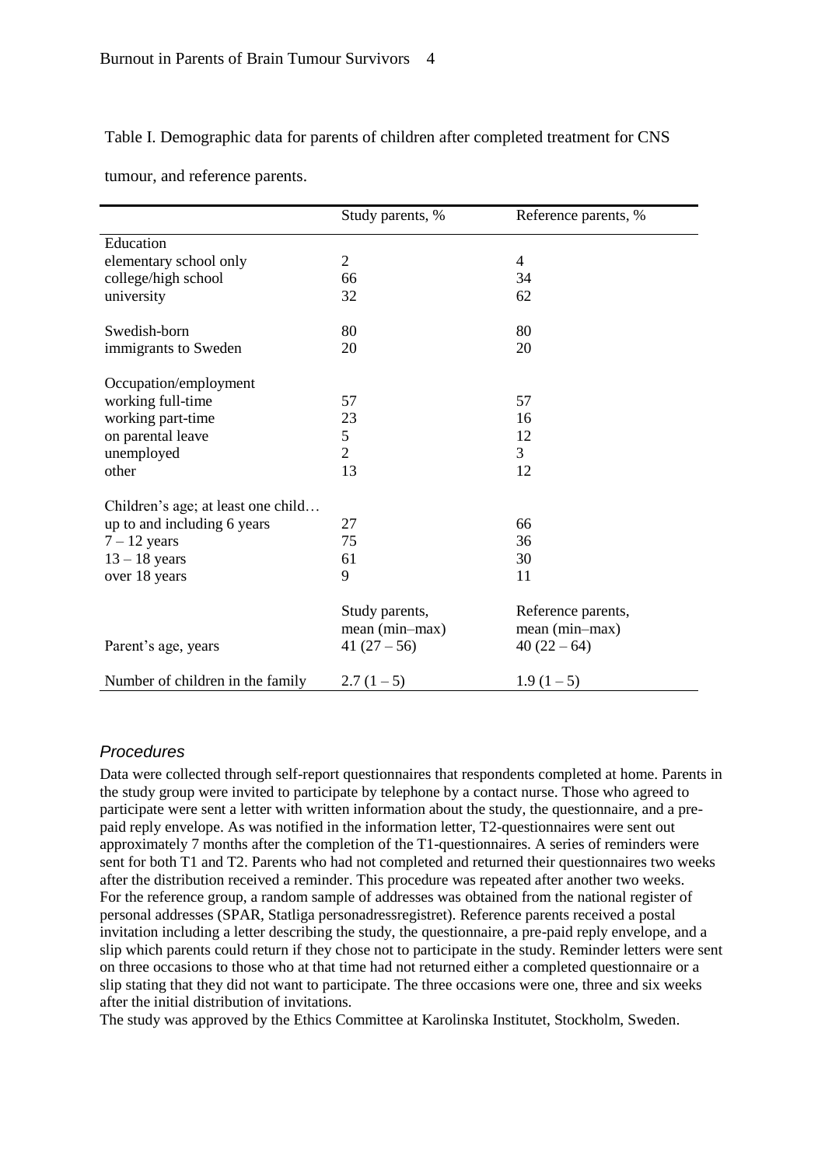#### Table I. Demographic data for parents of children after completed treatment for CNS

|  |  | tumour, and reference parents. |  |
|--|--|--------------------------------|--|
|--|--|--------------------------------|--|

|                                    | Study parents, %                                 | Reference parents, %                                |
|------------------------------------|--------------------------------------------------|-----------------------------------------------------|
| Education                          |                                                  |                                                     |
| elementary school only             | $\overline{2}$                                   | 4                                                   |
| college/high school                | 66                                               | 34                                                  |
| university                         | 32                                               | 62                                                  |
| Swedish-born                       | 80                                               | 80                                                  |
| immigrants to Sweden               | 20                                               | 20                                                  |
| Occupation/employment              |                                                  |                                                     |
| working full-time                  | 57                                               | 57                                                  |
| working part-time                  | 23                                               | 16                                                  |
| on parental leave                  | 5                                                | 12                                                  |
| unemployed                         | $\overline{2}$                                   | 3                                                   |
| other                              | 13                                               | 12                                                  |
| Children's age; at least one child |                                                  |                                                     |
| up to and including 6 years        | 27                                               | 66                                                  |
| $7 - 12$ years                     | 75                                               | 36                                                  |
| $13 - 18$ years                    | 61                                               | 30                                                  |
| over 18 years                      | 9                                                | 11                                                  |
| Parent's age, years                | Study parents,<br>mean (min-max)<br>41 $(27-56)$ | Reference parents,<br>mean (min-max)<br>$40(22-64)$ |
| Number of children in the family   | $2.7(1-5)$                                       | $1.9(1-5)$                                          |

#### *Procedures*

Data were collected through self-report questionnaires that respondents completed at home. Parents in the study group were invited to participate by telephone by a contact nurse. Those who agreed to participate were sent a letter with written information about the study, the questionnaire, and a prepaid reply envelope. As was notified in the information letter, T2-questionnaires were sent out approximately 7 months after the completion of the T1-questionnaires. A series of reminders were sent for both T1 and T2. Parents who had not completed and returned their questionnaires two weeks after the distribution received a reminder. This procedure was repeated after another two weeks. For the reference group, a random sample of addresses was obtained from the national register of personal addresses (SPAR, Statliga personadressregistret). Reference parents received a postal invitation including a letter describing the study, the questionnaire, a pre-paid reply envelope, and a slip which parents could return if they chose not to participate in the study. Reminder letters were sent on three occasions to those who at that time had not returned either a completed questionnaire or a slip stating that they did not want to participate. The three occasions were one, three and six weeks after the initial distribution of invitations.

The study was approved by the Ethics Committee at Karolinska Institutet, Stockholm, Sweden.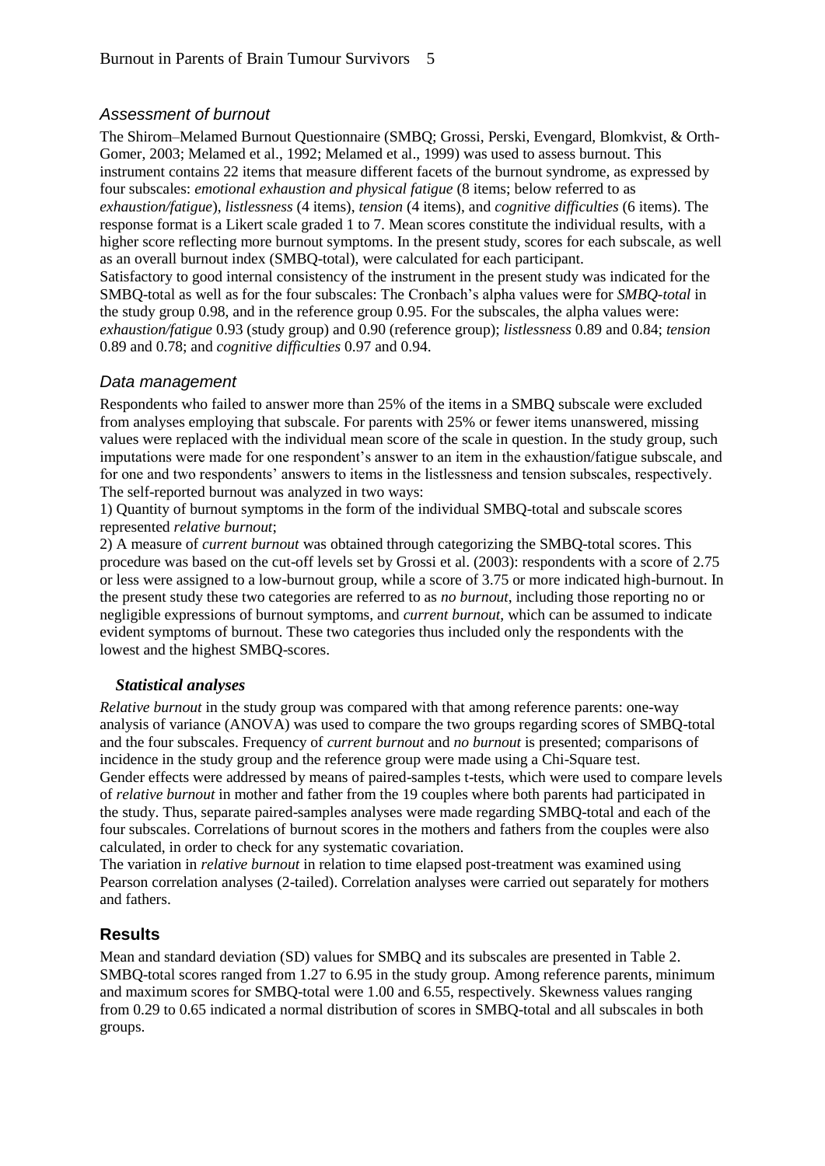## *Assessment of burnout*

The Shirom–Melamed Burnout Questionnaire (SMBQ; Grossi, Perski, Evengard, Blomkvist, & Orth-Gomer, 2003; Melamed et al., 1992; Melamed et al., 1999) was used to assess burnout. This instrument contains 22 items that measure different facets of the burnout syndrome, as expressed by four subscales: *emotional exhaustion and physical fatigue* (8 items; below referred to as *exhaustion/fatigue*), *listlessness* (4 items), *tension* (4 items), and *cognitive difficulties* (6 items). The response format is a Likert scale graded 1 to 7. Mean scores constitute the individual results, with a higher score reflecting more burnout symptoms. In the present study, scores for each subscale, as well as an overall burnout index (SMBQ-total), were calculated for each participant. Satisfactory to good internal consistency of the instrument in the present study was indicated for the SMBQ-total as well as for the four subscales: The Cronbach's alpha values were for *SMBQ-total* in the study group 0.98, and in the reference group 0.95. For the subscales, the alpha values were: *exhaustion/fatigue* 0.93 (study group) and 0.90 (reference group); *listlessness* 0.89 and 0.84; *tension* 0.89 and 0.78; and *cognitive difficulties* 0.97 and 0.94.

## *Data management*

Respondents who failed to answer more than 25% of the items in a SMBQ subscale were excluded from analyses employing that subscale. For parents with 25% or fewer items unanswered, missing values were replaced with the individual mean score of the scale in question. In the study group, such imputations were made for one respondent's answer to an item in the exhaustion/fatigue subscale, and for one and two respondents' answers to items in the listlessness and tension subscales, respectively. The self-reported burnout was analyzed in two ways:

1) Quantity of burnout symptoms in the form of the individual SMBQ-total and subscale scores represented *relative burnout*;

2) A measure of *current burnout* was obtained through categorizing the SMBQ-total scores. This procedure was based on the cut-off levels set by Grossi et al. (2003): respondents with a score of 2.75 or less were assigned to a low-burnout group, while a score of 3.75 or more indicated high-burnout. In the present study these two categories are referred to as *no burnout*, including those reporting no or negligible expressions of burnout symptoms, and *current burnout*, which can be assumed to indicate evident symptoms of burnout. These two categories thus included only the respondents with the lowest and the highest SMBQ-scores.

#### *Statistical analyses*

*Relative burnout* in the study group was compared with that among reference parents: one-way analysis of variance (ANOVA) was used to compare the two groups regarding scores of SMBQ-total and the four subscales. Frequency of *current burnout* and *no burnout* is presented; comparisons of incidence in the study group and the reference group were made using a Chi-Square test. Gender effects were addressed by means of paired-samples t-tests, which were used to compare levels of *relative burnout* in mother and father from the 19 couples where both parents had participated in the study. Thus, separate paired-samples analyses were made regarding SMBQ-total and each of the four subscales. Correlations of burnout scores in the mothers and fathers from the couples were also calculated, in order to check for any systematic covariation.

The variation in *relative burnout* in relation to time elapsed post-treatment was examined using Pearson correlation analyses (2-tailed). Correlation analyses were carried out separately for mothers and fathers.

## **Results**

Mean and standard deviation (SD) values for SMBQ and its subscales are presented in Table 2. SMBQ-total scores ranged from 1.27 to 6.95 in the study group. Among reference parents, minimum and maximum scores for SMBQ-total were 1.00 and 6.55, respectively. Skewness values ranging from 0.29 to 0.65 indicated a normal distribution of scores in SMBQ-total and all subscales in both groups.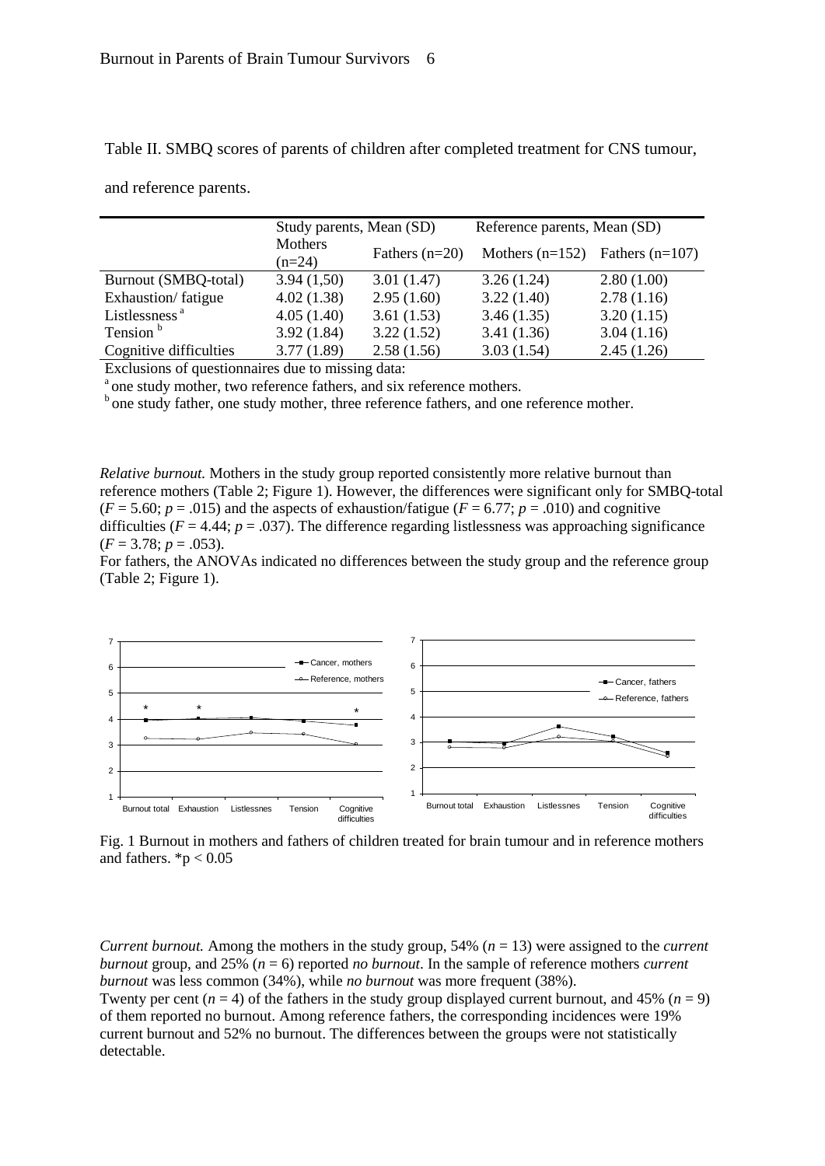Table II. SMBQ scores of parents of children after completed treatment for CNS tumour,

and reference parents.

|                           | Study parents, Mean (SD) |                  | Reference parents, Mean (SD) |                   |
|---------------------------|--------------------------|------------------|------------------------------|-------------------|
|                           | Mothers<br>$(n=24)$      | Fathers $(n=20)$ | Mothers $(n=152)$            | Fathers $(n=107)$ |
| Burnout (SMBQ-total)      | 3.94(1,50)               | 3.01(1.47)       | 3.26(1.24)                   | 2.80(1.00)        |
| Exhaustion/fatigue        | 4.02(1.38)               | 2.95(1.60)       | 3.22(1.40)                   | 2.78(1.16)        |
| Listlessness <sup>a</sup> | 4.05(1.40)               | 3.61(1.53)       | 3.46(1.35)                   | 3.20(1.15)        |
| Tension <sup>b</sup>      | 3.92(1.84)               | 3.22(1.52)       | 3.41(1.36)                   | 3.04(1.16)        |
| Cognitive difficulties    | 3.77(1.89)               | 2.58(1.56)       | 3.03(1.54)                   | 2.45(1.26)        |

Exclusions of questionnaires due to missing data:

<sup>a</sup> one study mother, two reference fathers, and six reference mothers.

 $<sup>b</sup>$  one study father, one study mother, three reference fathers, and one reference mother.</sup>

*Relative burnout.* Mothers in the study group reported consistently more relative burnout than reference mothers (Table 2; Figure 1). However, the differences were significant only for SMBQ-total  $(F = 5.60; p = .015)$  and the aspects of exhaustion/fatigue  $(F = 6.77; p = .010)$  and cognitive difficulties ( $F = 4.44$ ;  $p = .037$ ). The difference regarding listlessness was approaching significance  $(F = 3.78; p = .053)$ .

For fathers, the ANOVAs indicated no differences between the study group and the reference group (Table 2; Figure 1).



Fig. 1 Burnout in mothers and fathers of children treated for brain tumour and in reference mothers and fathers.  $*<sub>p</sub> < 0.05$ 

*Current burnout.* Among the mothers in the study group, 54% (*n* = 13) were assigned to the *current burnout* group, and 25% (*n* = 6) reported *no burnout*. In the sample of reference mothers *current burnout* was less common (34%), while *no burnout* was more frequent (38%).

Twenty per cent  $(n = 4)$  of the fathers in the study group displayed current burnout, and 45%  $(n = 9)$ of them reported no burnout. Among reference fathers, the corresponding incidences were 19% current burnout and 52% no burnout. The differences between the groups were not statistically detectable.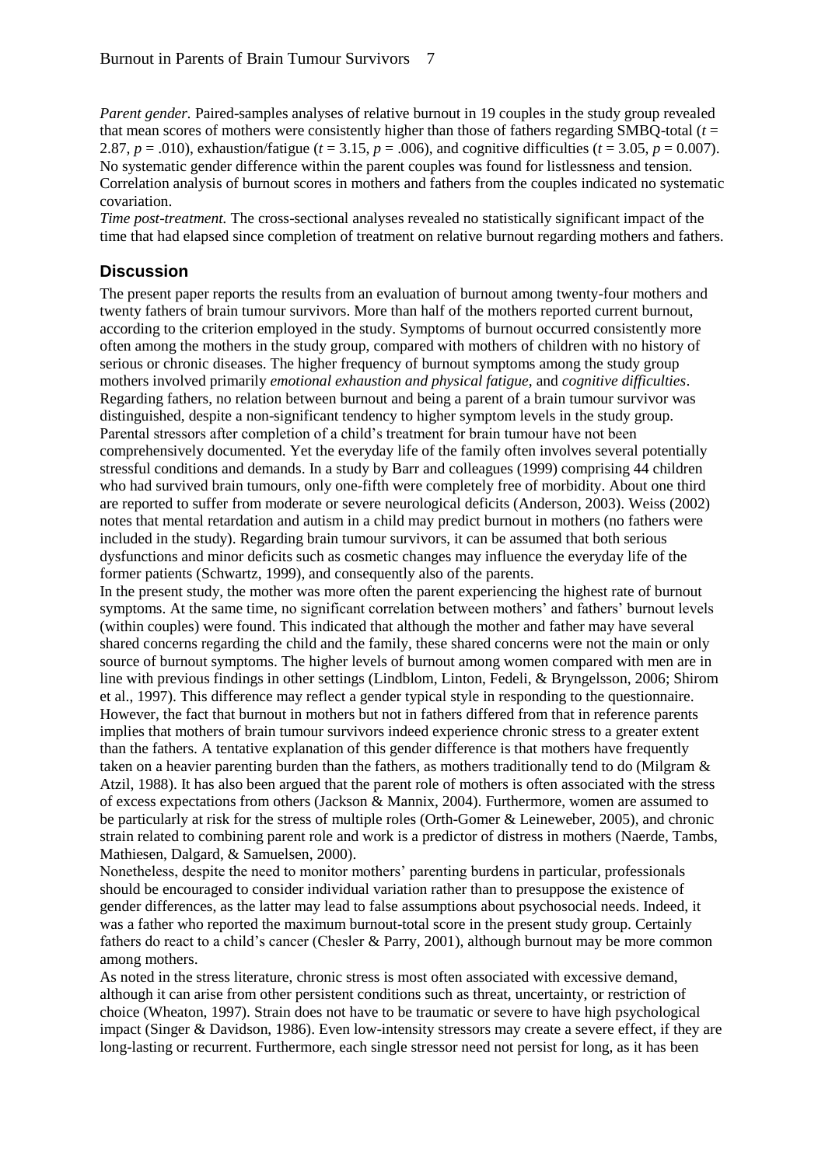*Parent gender.* Paired-samples analyses of relative burnout in 19 couples in the study group revealed that mean scores of mothers were consistently higher than those of fathers regarding SMBQ-total  $(t =$ 2.87,  $p = .010$ ), exhaustion/fatigue ( $t = 3.15$ ,  $p = .006$ ), and cognitive difficulties ( $t = 3.05$ ,  $p = 0.007$ ). No systematic gender difference within the parent couples was found for listlessness and tension. Correlation analysis of burnout scores in mothers and fathers from the couples indicated no systematic covariation.

*Time post-treatment*. The cross-sectional analyses revealed no statistically significant impact of the time that had elapsed since completion of treatment on relative burnout regarding mothers and fathers.

## **Discussion**

The present paper reports the results from an evaluation of burnout among twenty-four mothers and twenty fathers of brain tumour survivors. More than half of the mothers reported current burnout, according to the criterion employed in the study. Symptoms of burnout occurred consistently more often among the mothers in the study group, compared with mothers of children with no history of serious or chronic diseases. The higher frequency of burnout symptoms among the study group mothers involved primarily *emotional exhaustion and physical fatigue*, and *cognitive difficulties*. Regarding fathers, no relation between burnout and being a parent of a brain tumour survivor was distinguished, despite a non-significant tendency to higher symptom levels in the study group. Parental stressors after completion of a child's treatment for brain tumour have not been comprehensively documented. Yet the everyday life of the family often involves several potentially stressful conditions and demands. In a study by Barr and colleagues (1999) comprising 44 children who had survived brain tumours, only one-fifth were completely free of morbidity. About one third are reported to suffer from moderate or severe neurological deficits (Anderson, 2003). Weiss (2002) notes that mental retardation and autism in a child may predict burnout in mothers (no fathers were included in the study). Regarding brain tumour survivors, it can be assumed that both serious dysfunctions and minor deficits such as cosmetic changes may influence the everyday life of the former patients (Schwartz, 1999), and consequently also of the parents.

In the present study, the mother was more often the parent experiencing the highest rate of burnout symptoms. At the same time, no significant correlation between mothers' and fathers' burnout levels (within couples) were found. This indicated that although the mother and father may have several shared concerns regarding the child and the family, these shared concerns were not the main or only source of burnout symptoms. The higher levels of burnout among women compared with men are in line with previous findings in other settings (Lindblom, Linton, Fedeli, & Bryngelsson, 2006; Shirom et al., 1997). This difference may reflect a gender typical style in responding to the questionnaire. However, the fact that burnout in mothers but not in fathers differed from that in reference parents implies that mothers of brain tumour survivors indeed experience chronic stress to a greater extent than the fathers. A tentative explanation of this gender difference is that mothers have frequently taken on a heavier parenting burden than the fathers, as mothers traditionally tend to do (Milgram & Atzil, 1988). It has also been argued that the parent role of mothers is often associated with the stress of excess expectations from others (Jackson & Mannix, 2004). Furthermore, women are assumed to be particularly at risk for the stress of multiple roles (Orth-Gomer & Leineweber, 2005), and chronic strain related to combining parent role and work is a predictor of distress in mothers (Naerde, Tambs, Mathiesen, Dalgard, & Samuelsen, 2000).

Nonetheless, despite the need to monitor mothers' parenting burdens in particular, professionals should be encouraged to consider individual variation rather than to presuppose the existence of gender differences, as the latter may lead to false assumptions about psychosocial needs. Indeed, it was a father who reported the maximum burnout-total score in the present study group. Certainly fathers do react to a child's cancer (Chesler & Parry, 2001), although burnout may be more common among mothers.

As noted in the stress literature, chronic stress is most often associated with excessive demand, although it can arise from other persistent conditions such as threat, uncertainty, or restriction of choice (Wheaton, 1997). Strain does not have to be traumatic or severe to have high psychological impact (Singer & Davidson, 1986). Even low-intensity stressors may create a severe effect, if they are long-lasting or recurrent. Furthermore, each single stressor need not persist for long, as it has been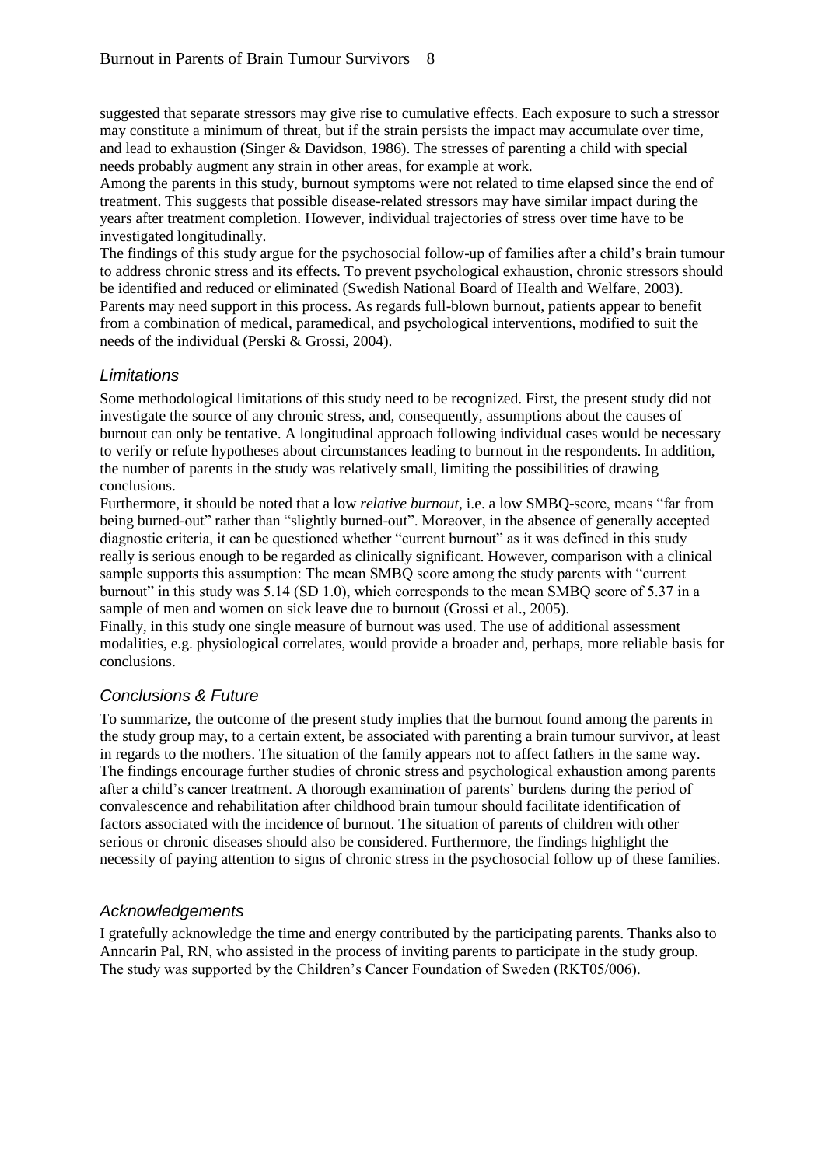suggested that separate stressors may give rise to cumulative effects. Each exposure to such a stressor may constitute a minimum of threat, but if the strain persists the impact may accumulate over time, and lead to exhaustion (Singer & Davidson, 1986). The stresses of parenting a child with special needs probably augment any strain in other areas, for example at work.

Among the parents in this study, burnout symptoms were not related to time elapsed since the end of treatment. This suggests that possible disease-related stressors may have similar impact during the years after treatment completion. However, individual trajectories of stress over time have to be investigated longitudinally.

The findings of this study argue for the psychosocial follow-up of families after a child's brain tumour to address chronic stress and its effects. To prevent psychological exhaustion, chronic stressors should be identified and reduced or eliminated (Swedish National Board of Health and Welfare, 2003). Parents may need support in this process. As regards full-blown burnout, patients appear to benefit from a combination of medical, paramedical, and psychological interventions, modified to suit the needs of the individual (Perski & Grossi, 2004).

#### *Limitations*

Some methodological limitations of this study need to be recognized. First, the present study did not investigate the source of any chronic stress, and, consequently, assumptions about the causes of burnout can only be tentative. A longitudinal approach following individual cases would be necessary to verify or refute hypotheses about circumstances leading to burnout in the respondents. In addition, the number of parents in the study was relatively small, limiting the possibilities of drawing conclusions.

Furthermore, it should be noted that a low *relative burnout*, i.e. a low SMBQ-score, means "far from being burned-out" rather than "slightly burned-out". Moreover, in the absence of generally accepted diagnostic criteria, it can be questioned whether "current burnout" as it was defined in this study really is serious enough to be regarded as clinically significant. However, comparison with a clinical sample supports this assumption: The mean SMBQ score among the study parents with "current burnout" in this study was 5.14 (SD 1.0), which corresponds to the mean SMBQ score of 5.37 in a sample of men and women on sick leave due to burnout (Grossi et al., 2005).

Finally, in this study one single measure of burnout was used. The use of additional assessment modalities, e.g. physiological correlates, would provide a broader and, perhaps, more reliable basis for conclusions.

## *Conclusions & Future*

To summarize, the outcome of the present study implies that the burnout found among the parents in the study group may, to a certain extent, be associated with parenting a brain tumour survivor, at least in regards to the mothers. The situation of the family appears not to affect fathers in the same way. The findings encourage further studies of chronic stress and psychological exhaustion among parents after a child's cancer treatment. A thorough examination of parents' burdens during the period of convalescence and rehabilitation after childhood brain tumour should facilitate identification of factors associated with the incidence of burnout. The situation of parents of children with other serious or chronic diseases should also be considered. Furthermore, the findings highlight the necessity of paying attention to signs of chronic stress in the psychosocial follow up of these families.

## *Acknowledgements*

I gratefully acknowledge the time and energy contributed by the participating parents. Thanks also to Anncarin Pal, RN, who assisted in the process of inviting parents to participate in the study group. The study was supported by the Children's Cancer Foundation of Sweden (RKT05/006).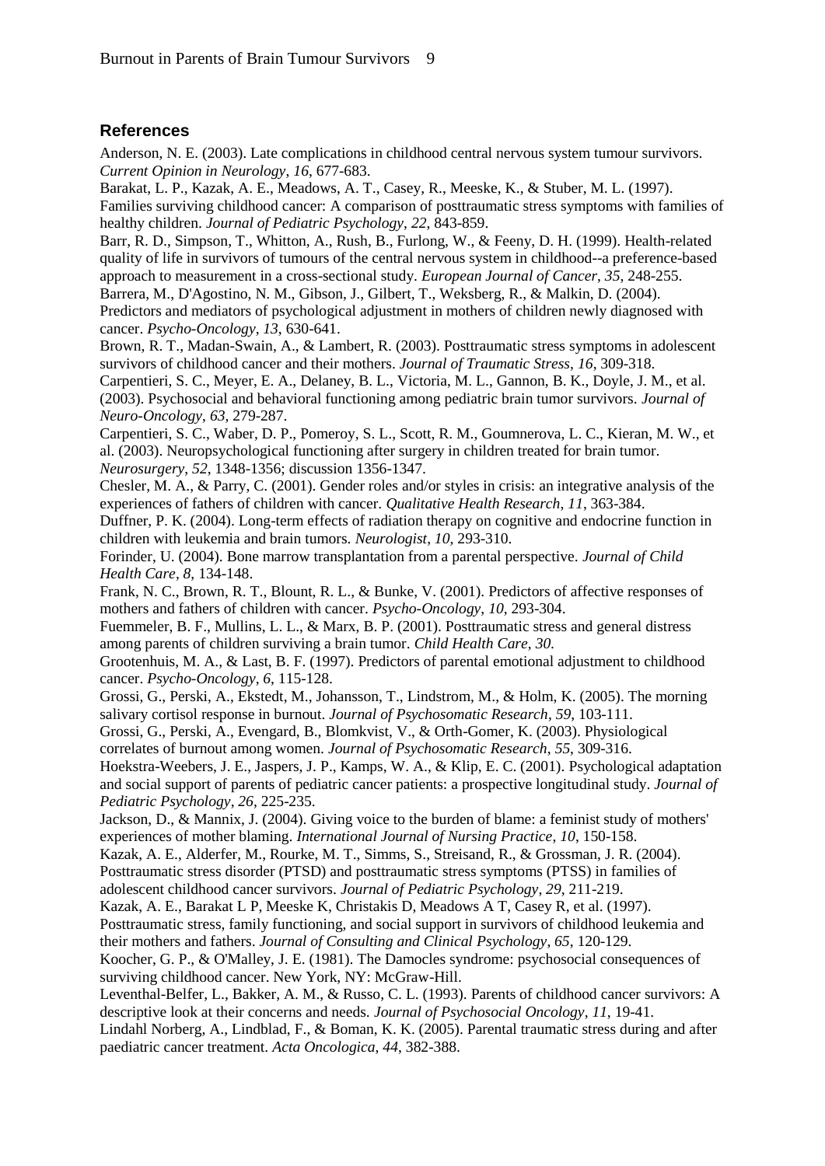## **References**

Anderson, N. E. (2003). Late complications in childhood central nervous system tumour survivors. *Current Opinion in Neurology*, *16*, 677-683.

Barakat, L. P., Kazak, A. E., Meadows, A. T., Casey, R., Meeske, K., & Stuber, M. L. (1997). Families surviving childhood cancer: A comparison of posttraumatic stress symptoms with families of healthy children. *Journal of Pediatric Psychology*, *22*, 843-859.

Barr, R. D., Simpson, T., Whitton, A., Rush, B., Furlong, W., & Feeny, D. H. (1999). Health-related quality of life in survivors of tumours of the central nervous system in childhood--a preference-based approach to measurement in a cross-sectional study. *European Journal of Cancer*, *35*, 248-255.

Barrera, M., D'Agostino, N. M., Gibson, J., Gilbert, T., Weksberg, R., & Malkin, D. (2004). Predictors and mediators of psychological adjustment in mothers of children newly diagnosed with cancer. *Psycho-Oncology*, *13*, 630-641.

Brown, R. T., Madan-Swain, A., & Lambert, R. (2003). Posttraumatic stress symptoms in adolescent survivors of childhood cancer and their mothers. *Journal of Traumatic Stress*, *16*, 309-318.

Carpentieri, S. C., Meyer, E. A., Delaney, B. L., Victoria, M. L., Gannon, B. K., Doyle, J. M., et al. (2003). Psychosocial and behavioral functioning among pediatric brain tumor survivors. *Journal of Neuro-Oncology*, *63*, 279-287.

Carpentieri, S. C., Waber, D. P., Pomeroy, S. L., Scott, R. M., Goumnerova, L. C., Kieran, M. W., et al. (2003). Neuropsychological functioning after surgery in children treated for brain tumor. *Neurosurgery*, *52*, 1348-1356; discussion 1356-1347.

Chesler, M. A., & Parry, C. (2001). Gender roles and/or styles in crisis: an integrative analysis of the experiences of fathers of children with cancer. *Qualitative Health Research*, *11*, 363-384.

Duffner, P. K. (2004). Long-term effects of radiation therapy on cognitive and endocrine function in children with leukemia and brain tumors. *Neurologist*, *10*, 293-310.

Forinder, U. (2004). Bone marrow transplantation from a parental perspective. *Journal of Child Health Care*, *8*, 134-148.

Frank, N. C., Brown, R. T., Blount, R. L., & Bunke, V. (2001). Predictors of affective responses of mothers and fathers of children with cancer. *Psycho-Oncology*, *10*, 293-304.

Fuemmeler, B. F., Mullins, L. L., & Marx, B. P. (2001). Posttraumatic stress and general distress among parents of children surviving a brain tumor. *Child Health Care*, *30*.

Grootenhuis, M. A., & Last, B. F. (1997). Predictors of parental emotional adjustment to childhood cancer. *Psycho-Oncology*, *6*, 115-128.

Grossi, G., Perski, A., Ekstedt, M., Johansson, T., Lindstrom, M., & Holm, K. (2005). The morning salivary cortisol response in burnout. *Journal of Psychosomatic Research*, *59*, 103-111.

Grossi, G., Perski, A., Evengard, B., Blomkvist, V., & Orth-Gomer, K. (2003). Physiological correlates of burnout among women. *Journal of Psychosomatic Research*, *55*, 309-316.

Hoekstra-Weebers, J. E., Jaspers, J. P., Kamps, W. A., & Klip, E. C. (2001). Psychological adaptation and social support of parents of pediatric cancer patients: a prospective longitudinal study. *Journal of Pediatric Psychology*, *26*, 225-235.

Jackson, D., & Mannix, J. (2004). Giving voice to the burden of blame: a feminist study of mothers' experiences of mother blaming. *International Journal of Nursing Practice*, *10*, 150-158.

Kazak, A. E., Alderfer, M., Rourke, M. T., Simms, S., Streisand, R., & Grossman, J. R. (2004). Posttraumatic stress disorder (PTSD) and posttraumatic stress symptoms (PTSS) in families of adolescent childhood cancer survivors. *Journal of Pediatric Psychology*, *29*, 211-219.

Kazak, A. E., Barakat L P, Meeske K, Christakis D, Meadows A T, Casey R, et al. (1997).

Posttraumatic stress, family functioning, and social support in survivors of childhood leukemia and their mothers and fathers. *Journal of Consulting and Clinical Psychology*, *65*, 120-129.

Leventhal-Belfer, L., Bakker, A. M., & Russo, C. L. (1993). Parents of childhood cancer survivors: A descriptive look at their concerns and needs. *Journal of Psychosocial Oncology*, *11*, 19-41.

Lindahl Norberg, A., Lindblad, F., & Boman, K. K. (2005). Parental traumatic stress during and after paediatric cancer treatment. *Acta Oncologica*, *44*, 382-388.

Koocher, G. P., & O'Malley, J. E. (1981). The Damocles syndrome: psychosocial consequences of surviving childhood cancer. New York, NY: McGraw-Hill.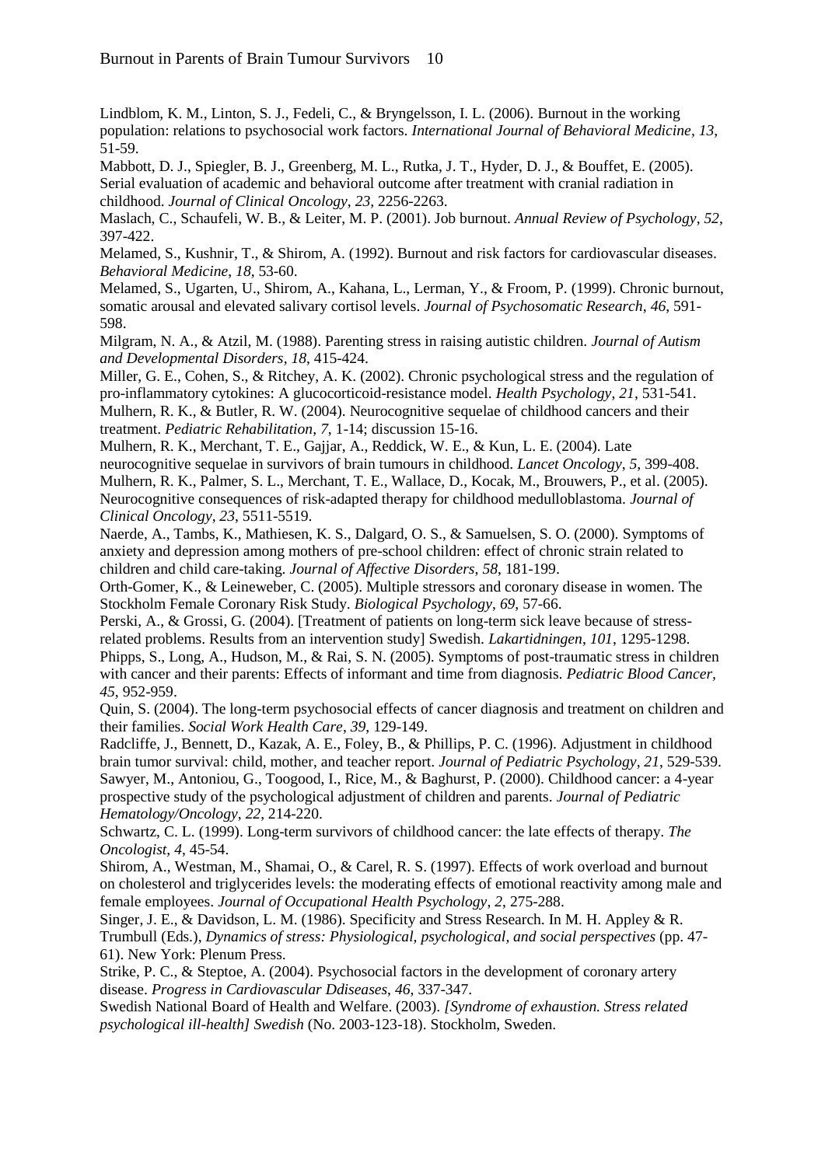Lindblom, K. M., Linton, S. J., Fedeli, C., & Bryngelsson, I. L. (2006). Burnout in the working population: relations to psychosocial work factors. *International Journal of Behavioral Medicine*, *13*, 51-59.

Mabbott, D. J., Spiegler, B. J., Greenberg, M. L., Rutka, J. T., Hyder, D. J., & Bouffet, E. (2005). Serial evaluation of academic and behavioral outcome after treatment with cranial radiation in childhood. *Journal of Clinical Oncology*, *23*, 2256-2263.

Maslach, C., Schaufeli, W. B., & Leiter, M. P. (2001). Job burnout. *Annual Review of Psychology*, *52*, 397-422.

Melamed, S., Kushnir, T., & Shirom, A. (1992). Burnout and risk factors for cardiovascular diseases. *Behavioral Medicine*, *18*, 53-60.

Melamed, S., Ugarten, U., Shirom, A., Kahana, L., Lerman, Y., & Froom, P. (1999). Chronic burnout, somatic arousal and elevated salivary cortisol levels. *Journal of Psychosomatic Research*, *46*, 591- 598.

Milgram, N. A., & Atzil, M. (1988). Parenting stress in raising autistic children. *Journal of Autism and Developmental Disorders*, *18*, 415-424.

Miller, G. E., Cohen, S., & Ritchey, A. K. (2002). Chronic psychological stress and the regulation of pro-inflammatory cytokines: A glucocorticoid-resistance model. *Health Psychology*, *21*, 531-541. Mulhern, R. K., & Butler, R. W. (2004). Neurocognitive sequelae of childhood cancers and their treatment. *Pediatric Rehabilitation*, *7*, 1-14; discussion 15-16.

Mulhern, R. K., Merchant, T. E., Gajjar, A., Reddick, W. E., & Kun, L. E. (2004). Late neurocognitive sequelae in survivors of brain tumours in childhood. *Lancet Oncology*, *5*, 399-408. Mulhern, R. K., Palmer, S. L., Merchant, T. E., Wallace, D., Kocak, M., Brouwers, P., et al. (2005). Neurocognitive consequences of risk-adapted therapy for childhood medulloblastoma. *Journal of Clinical Oncology*, *23*, 5511-5519.

Naerde, A., Tambs, K., Mathiesen, K. S., Dalgard, O. S., & Samuelsen, S. O. (2000). Symptoms of anxiety and depression among mothers of pre-school children: effect of chronic strain related to children and child care-taking. *Journal of Affective Disorders*, *58*, 181-199.

Orth-Gomer, K., & Leineweber, C. (2005). Multiple stressors and coronary disease in women. The Stockholm Female Coronary Risk Study. *Biological Psychology*, *69*, 57-66.

Perski, A., & Grossi, G. (2004). [Treatment of patients on long-term sick leave because of stressrelated problems. Results from an intervention study] Swedish. *Lakartidningen*, *101*, 1295-1298. Phipps, S., Long, A., Hudson, M., & Rai, S. N. (2005). Symptoms of post-traumatic stress in children with cancer and their parents: Effects of informant and time from diagnosis. *Pediatric Blood Cancer, 45*, 952-959.

Quin, S. (2004). The long-term psychosocial effects of cancer diagnosis and treatment on children and their families. *Social Work Health Care*, *39*, 129-149.

Radcliffe, J., Bennett, D., Kazak, A. E., Foley, B., & Phillips, P. C. (1996). Adjustment in childhood brain tumor survival: child, mother, and teacher report. *Journal of Pediatric Psychology*, *21*, 529-539. Sawyer, M., Antoniou, G., Toogood, I., Rice, M., & Baghurst, P. (2000). Childhood cancer: a 4-year prospective study of the psychological adjustment of children and parents. *Journal of Pediatric Hematology/Oncology*, *22*, 214-220.

Schwartz, C. L. (1999). Long-term survivors of childhood cancer: the late effects of therapy. *The Oncologist*, *4*, 45-54.

Shirom, A., Westman, M., Shamai, O., & Carel, R. S. (1997). Effects of work overload and burnout on cholesterol and triglycerides levels: the moderating effects of emotional reactivity among male and female employees. *Journal of Occupational Health Psychology*, *2*, 275-288.

Singer, J. E., & Davidson, L. M. (1986). Specificity and Stress Research. In M. H. Appley & R. Trumbull (Eds.), *Dynamics of stress: Physiological, psychological, and social perspectives* (pp. 47- 61). New York: Plenum Press.

Strike, P. C., & Steptoe, A. (2004). Psychosocial factors in the development of coronary artery disease. *Progress in Cardiovascular Ddiseases*, *46*, 337-347.

Swedish National Board of Health and Welfare. (2003). *[Syndrome of exhaustion. Stress related psychological ill-health] Swedish* (No. 2003-123-18). Stockholm, Sweden.